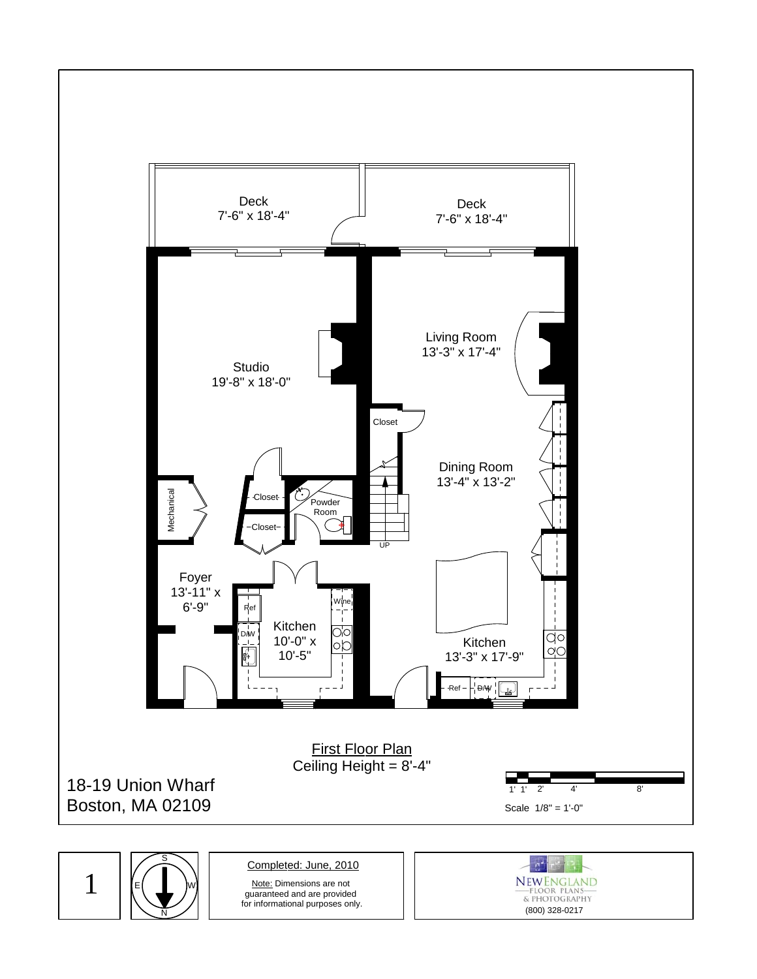

1 N S E W

Completed: June, 2010

Note: Dimensions are not guaranteed and are provided for informational purposes only.

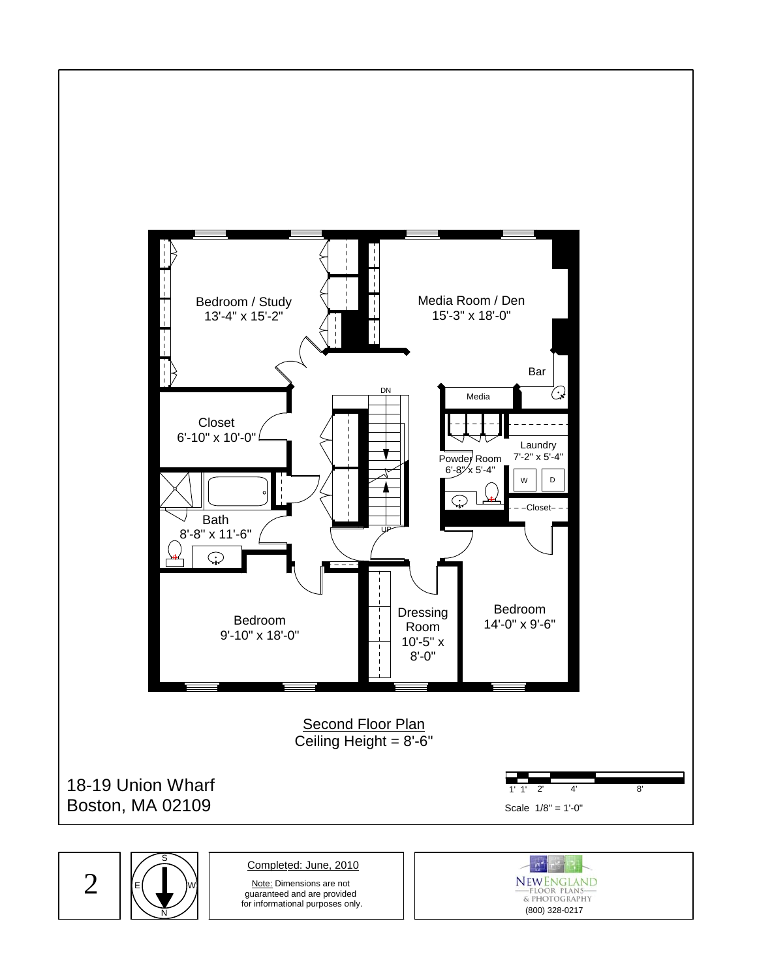

2



Completed: June, 2010

Note: Dimensions are not guaranteed and are provided for informational purposes only.

(800) 328-0217

**NEWENGLAND**<br>FLOOR PLANS<br>& PHOTOGRAPHY